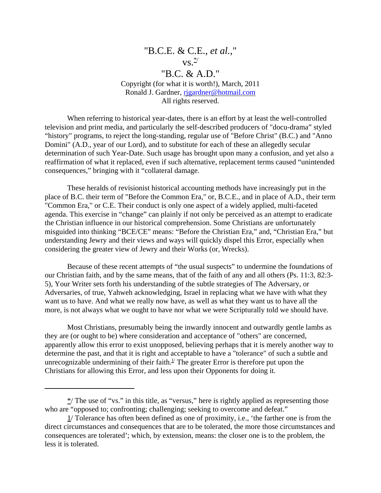## "B.C.E. & C.E., *et al.*,"  $\overline{\mathbf{v}}$ s. "B.C. & A.D." Copyright (for what it is worth!), March, 2011 Ronald J. Gardner, rigardner@hotmail.com All rights reserved.

When referring to historical year-dates, there is an effort by at least the well-controlled television and print media, and particularly the self-described producers of "docu-drama" styled "history" programs, to reject the long-standing, regular use of "Before Christ" (B.C.) and "Anno Domini" (A.D., year of our Lord), and to substitute for each of these an allegedly secular determination of such Year-Date. Such usage has brought upon many a confusion, and yet also a reaffirmation of what it replaced, even if such alternative, replacement terms caused "unintended consequences," bringing with it "collateral damage.

These heralds of revisionist historical accounting methods have increasingly put in the place of B.C. their term of "Before the Common Era," or, B.C.E., and in place of A.D., their term "Common Era," or C.E. Their conduct is only one aspect of a widely applied, multi-faceted agenda. This exercise in "change" can plainly if not only be perceived as an attempt to eradicate the Christian influence in our historical comprehension. Some Christians are unfortunately misguided into thinking "BCE/CE" means: "Before the Christian Era," and, "Christian Era," but understanding Jewry and their views and ways will quickly dispel this Error, especially when considering the greater view of Jewry and their Works (or, Wrecks).

Because of these recent attempts of "the usual suspects" to undermine the foundations of our Christian faith, and by the same means, that of the faith of any and all others (Ps. 11:3, 82:3- 5), Your Writer sets forth his understanding of the subtle strategies of The Adversary, or Adversaries, of true, Yahweh acknowledging, Israel in replacing what we have with what they want us to have. And what we really now have, as well as what they want us to have all the more, is not always what we ought to have nor what we were Scripturally told we should have.

Most Christians, presumably being the inwardly innocent and outwardly gentle lambs as they are (or ought to be) where consideration and acceptance of "others" are concerned, apparently allow this error to exist unopposed, believing perhaps that it is merely another way to determine the past, and that it is right and acceptable to have a "tolerance" of such a subtle and unrecognizable undermining of their faith. $\frac{1}{1}$  The greater Error is therefore put upon the Christians for allowing this Error, and less upon their Opponents for doing it.

 $\frac{k}{r}$  The use of "vs." in this title, as "versus," here is rightly applied as representing those who are "opposed to; confronting; challenging; seeking to overcome and defeat."

<sup>1/</sup> Tolerance has often been defined as one of proximity, i.e., 'the farther one is from the direct circumstances and consequences that are to be tolerated, the more those circumstances and consequences are tolerated'; which, by extension, means: the closer one is to the problem, the less it is tolerated.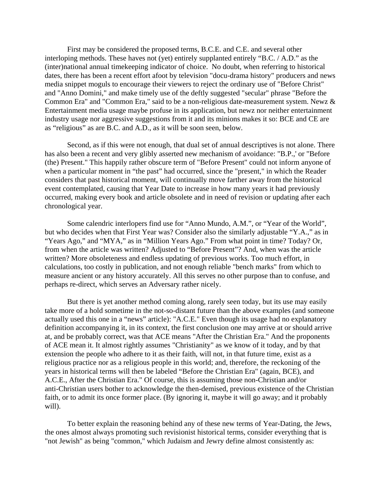First may be considered the proposed terms, B.C.E. and C.E. and several other interloping methods. These haves not (yet) entirely supplanted entirely "B.C. / A.D." as the (inter)national annual timekeeping indicator of choice. No doubt, when referring to historical dates, there has been a recent effort afoot by television "docu-drama history" producers and news media snippet moguls to encourage their viewers to reject the ordinary use of "Before Christ" and "Anno Domini," and make timely use of the deftly suggested "secular" phrase "Before the Common Era" and "Common Era," said to be a non-religious date-measurement system. Newz & Entertainment media usage maybe profuse in its application, but newz nor neither entertainment industry usage nor aggressive suggestions from it and its minions makes it so: BCE and CE are as "religious" as are B.C. and A.D., as it will be soon seen, below.

Second, as if this were not enough, that dual set of annual descriptives is not alone. There has also been a recent and very glibly asserted new mechanism of avoidance: "B.P.,' or "Before (the) Present." This happily rather obscure term of "Before Present" could not inform anyone of when a particular moment in "the past" had occurred, since the "present," in which the Reader considers that past historical moment, will continually move farther away from the historical event contemplated, causing that Year Date to increase in how many years it had previously occurred, making every book and article obsolete and in need of revision or updating after each chronological year.

Some calendric interlopers find use for "Anno Mundo, A.M.", or "Year of the World", but who decides when that First Year was? Consider also the similarly adjustable "Y.A.," as in "Years Ago," and "MYA," as in "Million Years Ago." From what point in time? Today? Or, from when the article was written? Adjusted to "Before Present"? And, when was the article written? More obsoleteness and endless updating of previous works. Too much effort, in calculations, too costly in publication, and not enough reliable "bench marks" from which to measure ancient or any history accurately. All this serves no other purpose than to confuse, and perhaps re-direct, which serves an Adversary rather nicely.

But there is yet another method coming along, rarely seen today, but its use may easily take more of a hold sometime in the not-so-distant future than the above examples (and someone actually used this one in a "news" article): "A.C.E." Even though its usage had no explanatory definition accompanying it, in its context, the first conclusion one may arrive at or should arrive at, and be probably correct, was that ACE means "After the Christian Era." And the proponents of ACE mean it. It almost rightly assumes "Christianity" as we know of it today, and by that extension the people who adhere to it as their faith, will not, in that future time, exist as a religious practice nor as a religious people in this world; and, therefore, the reckoning of the years in historical terms will then be labeled "Before the Christian Era" (again, BCE), and A.C.E., After the Christian Era." Of course, this is assuming those non-Christian and/or anti-Christian users bother to acknowledge the then-demised, previous existence of the Christian faith, or to admit its once former place. (By ignoring it, maybe it will go away; and it probably will).

To better explain the reasoning behind any of these new terms of Year-Dating, the Jews, the ones almost always promoting such revisionist historical terms, consider everything that is "not Jewish" as being "common," which Judaism and Jewry define almost consistently as: